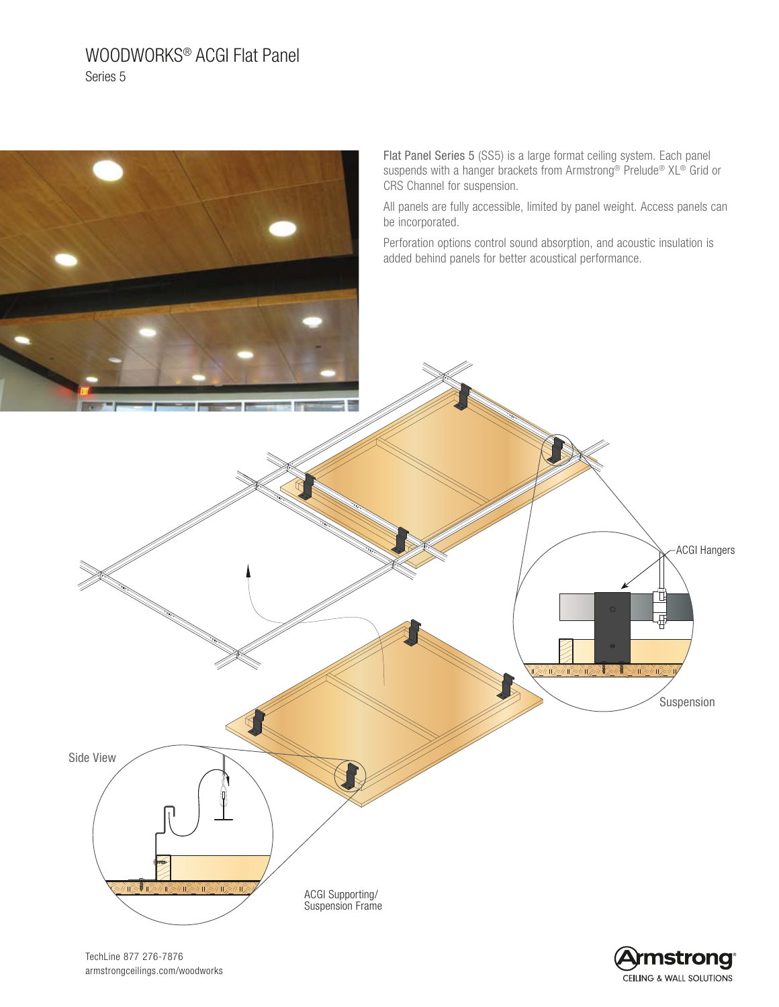# WOODWORKS® ACGI Flat Panel Series 5